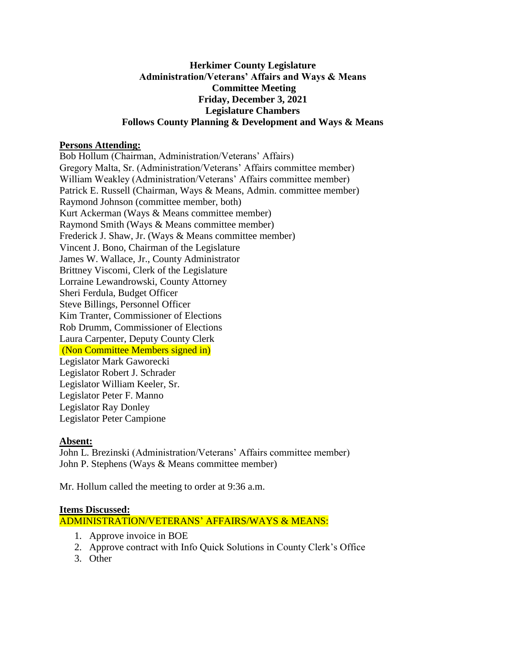## **Herkimer County Legislature Administration/Veterans' Affairs and Ways & Means Committee Meeting Friday, December 3, 2021 Legislature Chambers Follows County Planning & Development and Ways & Means**

## **Persons Attending:**

Bob Hollum (Chairman, Administration/Veterans' Affairs) Gregory Malta, Sr. (Administration/Veterans' Affairs committee member) William Weakley (Administration/Veterans' Affairs committee member) Patrick E. Russell (Chairman, Ways & Means, Admin. committee member) Raymond Johnson (committee member, both) Kurt Ackerman (Ways & Means committee member) Raymond Smith (Ways & Means committee member) Frederick J. Shaw, Jr. (Ways & Means committee member) Vincent J. Bono, Chairman of the Legislature James W. Wallace, Jr., County Administrator Brittney Viscomi, Clerk of the Legislature Lorraine Lewandrowski, County Attorney Sheri Ferdula, Budget Officer Steve Billings, Personnel Officer Kim Tranter, Commissioner of Elections Rob Drumm, Commissioner of Elections Laura Carpenter, Deputy County Clerk (Non Committee Members signed in) Legislator Mark Gaworecki Legislator Robert J. Schrader Legislator William Keeler, Sr. Legislator Peter F. Manno Legislator Ray Donley

Legislator Peter Campione

#### **Absent:**

John L. Brezinski (Administration/Veterans' Affairs committee member) John P. Stephens (Ways & Means committee member)

Mr. Hollum called the meeting to order at 9:36 a.m.

#### **Items Discussed:**

ADMINISTRATION/VETERANS' AFFAIRS/WAYS & MEANS:

- 1. Approve invoice in BOE
- 2. Approve contract with Info Quick Solutions in County Clerk's Office
- 3. Other